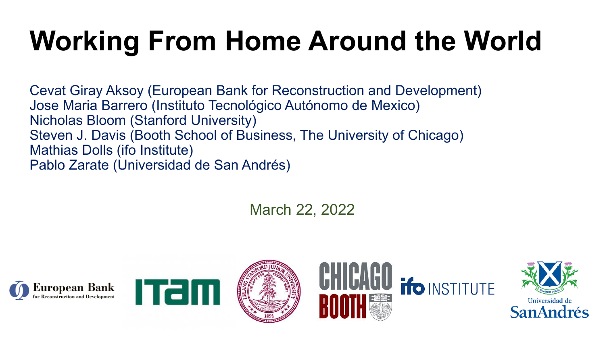# **Working From Home Around the World**

Cevat Giray Aksoy (European Bank for Reconstruction and Development) Jose Maria Barrero (Instituto Tecnológico Autónomo de Mexico) Nicholas Bloom (Stanford University) Steven J. Davis (Booth School of Business, The University of Chicago) Mathias Dolls (ifo Institute) Pablo Zarate (Universidad de San Andrés)

March 22, 2022











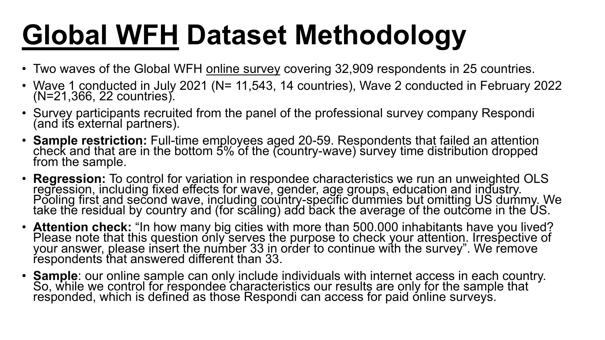# **Global WFH Dataset Methodology**

- Two waves of the Global WFH online survey covering 32,909 respondents in 25 countries.
- Wave 1 conducted in July 2021 (N= 11,543, 14 countries), Wave 2 conducted in February 2022 (N=21,366, 22 countries).
- Survey participants recruited from the panel of the professional survey company Respondi (and its external partners).
- **Sample restriction:** Full-time employees aged 20-59. Respondents that failed an attention check and that are in the bottom 5% of the (country-wave) survey time distribution dropped from the sample.
- **Regression:** To control for variation in respondee characteristics we run an unweighted OLS regression, including fixed effects for wave, gender, age groups, education and industry. Pooling first and second wave, including country-specific dummies but omitting US dummy. We take the residual by country and (for scaling) add back the average of the outcome in the US.
- **Attention check:** "In how many big cities with more than 500.000 inhabitants have you lived?<br>Please note that this question only serves the purpose to check your attention. Irrespective of your answer, please insert the number 33 in order to continue with the survey". We remove respondents that answered different than 33.
- **Sample**: our online sample can only include individuals with internet access in each country.<br>So, while we control for respondee characteristics our results are only for the sample that responded, which is defined as those Respondi can access for paid ónline surveys.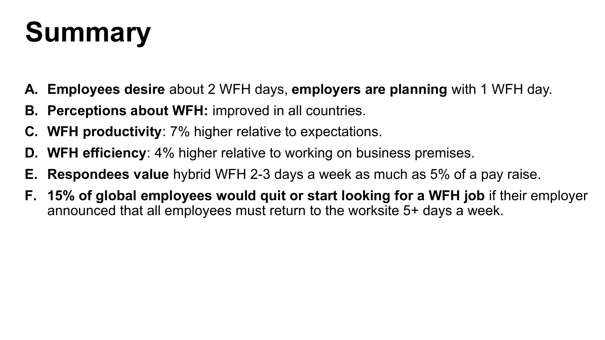## **Summary**

- **A. Employees desire** about 2 WFH days, **employers are planning** with 1 WFH day.
- **B. Perceptions about WFH:** improved in all countries.
- **C. WFH productivity**: 7% higher relative to expectations.
- **D. WFH efficiency**: 4% higher relative to working on business premises.
- **E. Respondees value** hybrid WFH 2-3 days a week as much as 5% of a pay raise.
- **F. 15% of global employees would quit or start looking for a WFH job** if their employer announced that all employees must return to the worksite 5+ days a week.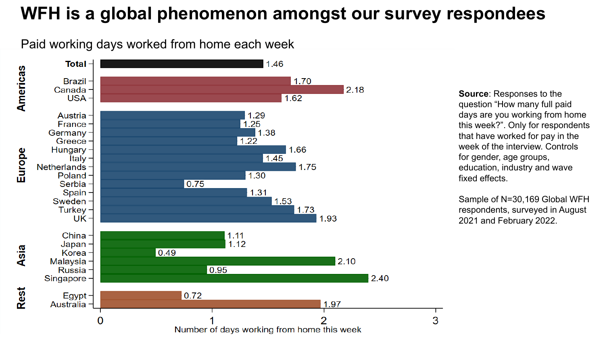## **WFH is a global phenomenon amongst our survey respondees**

Paid working days worked from home each week



**Source**: Responses to the question "How many full paid days are you working from home this week?". Only for respondents that have worked for pay in the week of the interview. Controls for gender, age groups, education, industry and wave fixed effects.

Sample of N=30,169 Global WFH respondents, surveyed in August 2021 and February 2022.

3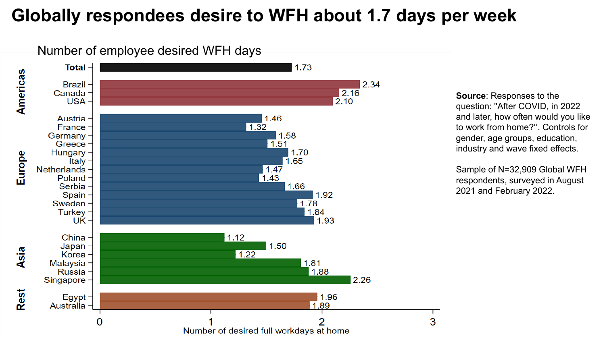## **Globally respondees desire to WFH about 1.7 days per week**



**Source**: Responses to the question: ''After COVID, in 2022 and later, how often would you like to work from home?''. Controls for gender, age groups, education, industry and wave fixed effects.

Sample of N=32,909 Global WFH respondents, surveyed in August 2021 and February 2022.

3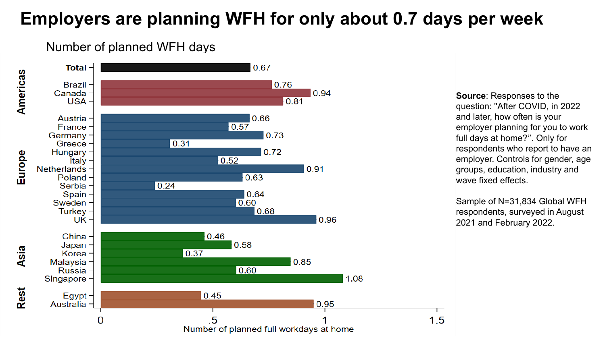## **Employers are planning WFH for only about 0.7 days per week**

#### Number of planned WFH days



**Source**: Responses to the question: ''After COVID, in 2022 and later, how often is your employer planning for you to work full days at home?''. Only for respondents who report to have an employer. Controls for gender, age groups, education, industry and wave fixed effects.

Sample of N=31,834 Global WFH respondents, surveyed in August 2021 and February 2022.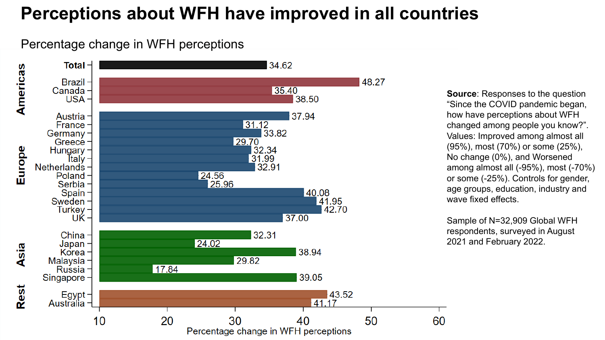## **Perceptions about WFH have improved in all countries**

#### Percentage change in WFH perceptions



**Source**: Responses to the question "Since the COVID pandemic began, how have perceptions about WFH changed among people you know?". Values: Improved among almost all (95%), most (70%) or some (25%), No change (0%), and Worsened among almost all (-95%), most (-70%) or some (-25%). Controls for gender, age groups, education, industry and wave fixed effects.

Sample of N=32,909 Global WFH respondents, surveyed in August 2021 and February 2022.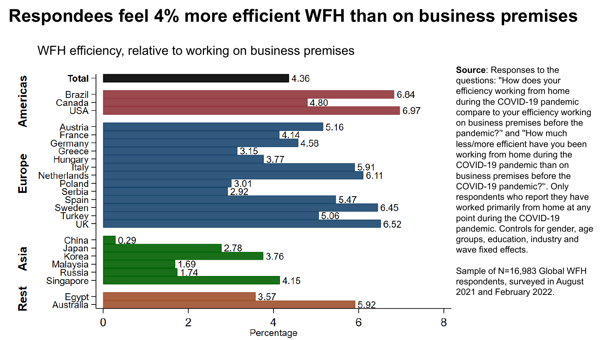## **Respondees feel 4% more efficient WFH than on business premises**

WFH efficiency, relative to working on business premises



**Source**: Responses to the questions: ''How does your efficiency working from home during the COVID-19 pandemic compare to your efficiency working on business premises before the pandemic?'' and ''How much less/more efficient have you been working from home during the COVID-19 pandemic than on business premises before the COVID-19 pandemic?''. Only respondents who report they have worked primarily from home at any point during the COVID-19 pandemic. Controls for gender, age groups, education, industry and wave fixed effects.

Sample of N=16,983 Global WFH respondents, surveyed in August 2021 and February 2022.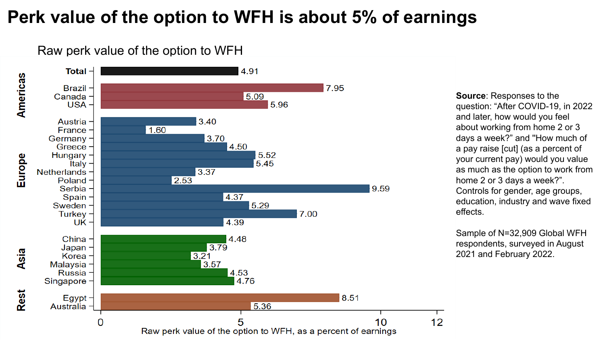## **Perk value of the option to WFH is about 5% of earnings**

Raw perk value of the option to WFH



**Source**: Responses to the question: "After COVID-19, in 2022 and later, how would you feel about working from home 2 or 3 days a week?" and ''How much of a pay raise [cut] (as a percent of your current pay) would you value as much as the option to work from home 2 or 3 days a week?". Controls for gender, age groups, education, industry and wave fixed effects.

Sample of N=32,909 Global WFH respondents, surveyed in August 2021 and February 2022.